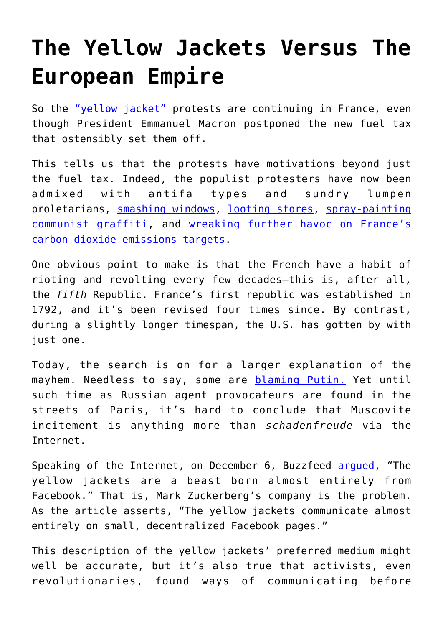## **[The Yellow Jackets Versus The](https://intellectualtakeout.org/2018/12/the-yellow-jackets-versus-the-european-empire/) [European Empire](https://intellectualtakeout.org/2018/12/the-yellow-jackets-versus-the-european-empire/)**

So the ["yellow jacket"](https://www.theamericanconservative.com/articles/make-the-rich-pay-for-their-own-green-ideas/) protests are continuing in France, even though President Emmanuel Macron postponed the new fuel tax that ostensibly set them off.

This tells us that the protests have motivations beyond just the fuel tax. Indeed, the populist protesters have now been admixed with antifa types and sundry lumpen proletarians, [smashing windows](https://twitter.com/alexisgddc/status/1071453929433694209), [looting stores](https://www.telegraph.co.uk/news/2018/12/08/yellow-vest-protests-paris-tourist-sites-shut-capital-goes-lockdown/), [spray-painting](https://twitter.com/hashtag/8Decembre?src=hash) [communist graffiti,](https://twitter.com/hashtag/8Decembre?src=hash) and [wreaking further havoc on France's](https://twitter.com/enough14/status/1071411934287855616) [carbon dioxide emissions targets.](https://twitter.com/enough14/status/1071411934287855616)

One obvious point to make is that the French have a habit of rioting and revolting every few decades—this is, after all, the *fifth* Republic. France's first republic was established in 1792, and it's been revised four times since. By contrast, during a slightly longer timespan, the U.S. has gotten by with just one.

Today, the search is on for a larger explanation of the mayhem. Needless to say, some are [blaming Putin.](https://twitter.com/olganyc1211/status/1071462896943665152?s=21) Yet until such time as Russian agent provocateurs are found in the streets of Paris, it's hard to conclude that Muscovite incitement is anything more than *schadenfreude* via the Internet.

Speaking of the Internet, on December 6, Buzzfeed [argued](https://www.buzzfeednews.com/article/ryanhatesthis/france-paris-yellow-jackets-facebook), "The yellow jackets are a beast born almost entirely from Facebook." That is, Mark Zuckerberg's company is the problem. As the article asserts, "The yellow jackets communicate almost entirely on small, decentralized Facebook pages."

This description of the yellow jackets' preferred medium might well be accurate, but it's also true that activists, even revolutionaries, found ways of communicating before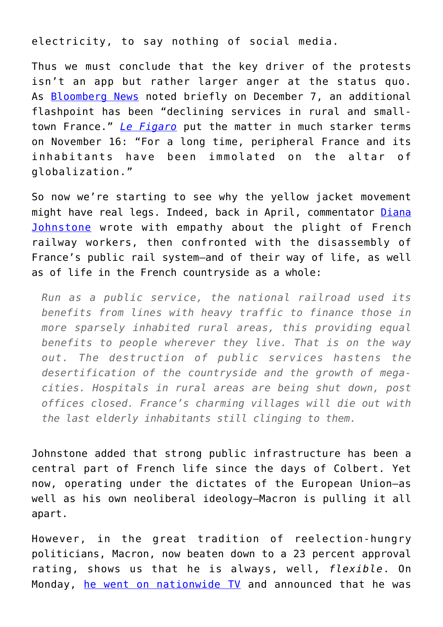electricity, to say nothing of social media.

Thus we must conclude that the key driver of the protests isn't an app but rather larger anger at the status quo. As [Bloomberg News](https://www.bloomberg.com/news/articles/2018-12-07/macron-s-defeat-in-paris-sounds-alarm-for-europe) noted briefly on December 7, an additional flashpoint has been "declining services in rural and smalltown France." *[Le Figaro](http://www.lefigaro.fr/vox/politique/2018/11/16/31001-20181116ARTFIG00374-les-gilets-jaunes-nouveaux-ploucs-emissaires.php?redirect_premium)* put the matter in much starker terms on November 16: "For a long time, peripheral France and its inhabitants have been immolated on the altar of globalization."

So now we're starting to see why the yellow jacket movement might have real legs. Indeed, back in April, commentator [Diana](https://www.globalresearch.ca/the-tragedy-of-the-cheminots-the-deep-meaning-of-the-french-railroad-strikes/5637103) [Johnstone](https://www.globalresearch.ca/the-tragedy-of-the-cheminots-the-deep-meaning-of-the-french-railroad-strikes/5637103) wrote with empathy about the plight of French railway workers, then confronted with the disassembly of France's public rail system—and of their way of life, as well as of life in the French countryside as a whole:

*Run as a public service, the national railroad used its benefits from lines with heavy traffic to finance those in more sparsely inhabited rural areas, this providing equal benefits to people wherever they live. That is on the way out. The destruction of public services hastens the desertification of the countryside and the growth of megacities. Hospitals in rural areas are being shut down, post offices closed. France's charming villages will die out with the last elderly inhabitants still clinging to them.*

Johnstone added that strong public infrastructure has been a central part of French life since the days of Colbert. Yet now, operating under the dictates of the European Union—as well as his own neoliberal ideology—Macron is pulling it all apart.

However, in the great tradition of reelection-hungry politicians, Macron, now beaten down to a 23 percent approval rating, shows us that he is always, well, *flexible*. On Monday, [he went on nationwide TV](https://www.france24.com/en/20181210-macron-france-tax-cuts-raise-wages-speech-yellow-vest-unrest) and announced that he was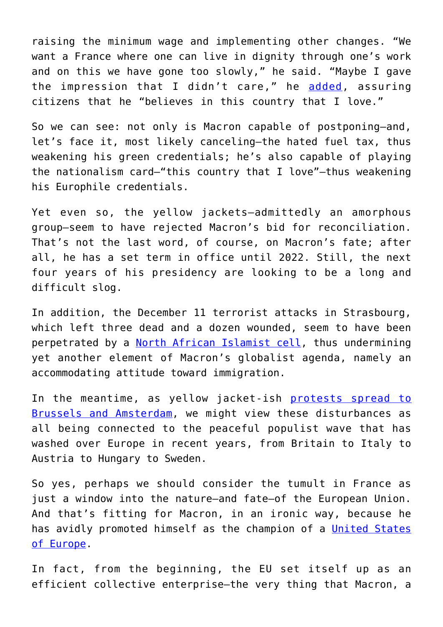raising the minimum wage and implementing other changes. "We want a France where one can live in dignity through one's work and on this we have gone too slowly," he said. "Maybe I gave the impression that I didn't care," he [added](https://townhall.com/tipsheet/cortneyobrien/2018/12/10/macron-speech-n2537251?utm_source=thdailypm&utm_medium=email&utm_campaign=nl_pm&newsletterad=&bcid=2997a307f858778a5746166991228508&recip=23255075), assuring citizens that he "believes in this country that I love."

So we can see: not only is Macron capable of postponing—and, let's face it, most likely canceling—the hated fuel tax, thus weakening his green credentials; he's also capable of playing the nationalism card—"this country that I love"—thus weakening his Europhile credentials.

Yet even so, the yellow jackets—admittedly an amorphous group—seem to have rejected Macron's bid for reconciliation. That's not the last word, of course, on Macron's fate; after all, he has a set term in office until 2022. Still, the next four years of his presidency are looking to be a long and difficult slog.

In addition, the December 11 terrorist attacks in Strasbourg, which left three dead and a dozen wounded, seem to have been perpetrated by a [North African Islamist cell,](https://www.foxnews.com/world/france-hunts-terror-suspect-who-attacked-christmas-market) thus undermining yet another element of Macron's globalist agenda, namely an accommodating attitude toward immigration.

In the meantime, as yellow jacket-ish [protests spread to](https://www.dailymail.co.uk/news/article-6474065/Hundreds-yellow-vest-protesters-detained-Paris.html) [Brussels and Amsterdam,](https://www.dailymail.co.uk/news/article-6474065/Hundreds-yellow-vest-protesters-detained-Paris.html) we might view these disturbances as all being connected to the peaceful populist wave that has washed over Europe in recent years, from Britain to Italy to Austria to Hungary to Sweden.

So yes, perhaps we should consider the tumult in France as just a window into the nature—and fate—of the European Union. And that's fitting for Macron, in an ironic way, because he has avidly promoted himself as the champion of a [United States](https://www.washingtonpost.com/world/europe/while-commemorating-wwi-macron-auditions-to-be-the-leader-of-europe/2018/11/09/153ce5ba-e1ec-11e8-ba30-a7ded04d8fac_story.html?utm_term=.3ffbf38ed423) [of Europe.](https://www.washingtonpost.com/world/europe/while-commemorating-wwi-macron-auditions-to-be-the-leader-of-europe/2018/11/09/153ce5ba-e1ec-11e8-ba30-a7ded04d8fac_story.html?utm_term=.3ffbf38ed423)

In fact, from the beginning, the EU set itself up as an efficient collective enterprise—the very thing that Macron, a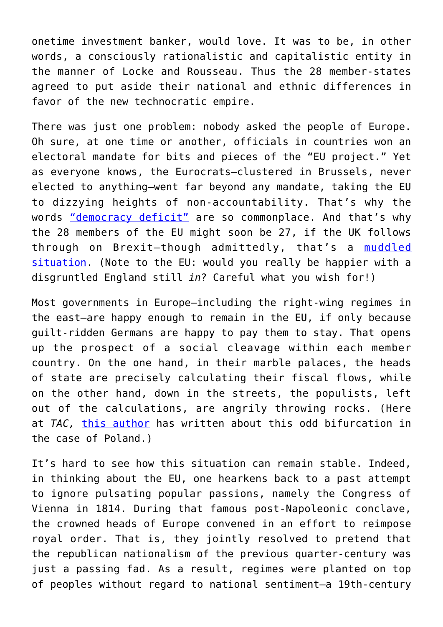onetime investment banker, would love. It was to be, in other words, a consciously rationalistic and capitalistic entity in the manner of Locke and Rousseau. Thus the 28 member-states agreed to put aside their national and ethnic differences in favor of the new technocratic empire.

There was just one problem: nobody asked the people of Europe. Oh sure, at one time or another, officials in countries won an electoral mandate for bits and pieces of the "EU project." Yet as everyone knows, the Eurocrats—clustered in Brussels, never elected to anything—went far beyond any mandate, taking the EU to dizzying heights of non-accountability. That's why the words ["democracy deficit"](https://en.wikipedia.org/wiki/Democratic_deficit_in_the_European_Union) are so commonplace. And that's why the 28 members of the EU might soon be 27, if the UK follows through on Brexit—though admittedly, that's a [muddled](https://www.theamericanconservative.com/articles/remexit-the-european-unions-plan-to-muddle-through/) [situation](https://www.theamericanconservative.com/articles/remexit-the-european-unions-plan-to-muddle-through/). (Note to the EU: would you really be happier with a disgruntled England still *in*? Careful what you wish for!)

Most governments in Europe—including the right-wing regimes in the east—are happy enough to remain in the EU, if only because guilt-ridden Germans are happy to pay them to stay. That opens up the prospect of a social cleavage within each member country. On the one hand, in their marble palaces, the heads of state are precisely calculating their fiscal flows, while on the other hand, down in the streets, the populists, left out of the calculations, are angrily throwing rocks. (Here at *TAC,* [this author](https://www.theamericanconservative.com/articles/is-poland-in-the-grip-of-a-burkean-battle/) has written about this odd bifurcation in the case of Poland.)

It's hard to see how this situation can remain stable. Indeed, in thinking about the EU, one hearkens back to a past attempt to ignore pulsating popular passions, namely the Congress of Vienna in 1814. During that famous post-Napoleonic conclave, the crowned heads of Europe convened in an effort to reimpose royal order. That is, they jointly resolved to pretend that the republican nationalism of the previous quarter-century was just a passing fad. As a result, regimes were planted on top of peoples without regard to national sentiment—a 19th-century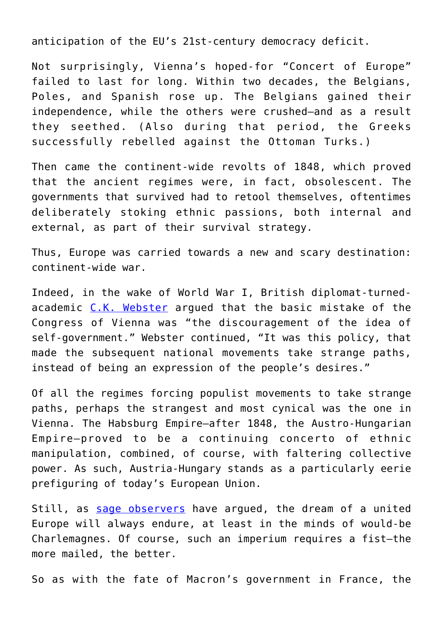anticipation of the EU's 21st-century democracy deficit.

Not surprisingly, Vienna's hoped-for "Concert of Europe" failed to last for long. Within two decades, the Belgians, Poles, and Spanish rose up. The Belgians gained their independence, while the others were crushed—and as a result they seethed. (Also during that period, the Greeks successfully rebelled against the Ottoman Turks.)

Then came the continent-wide revolts of 1848, which proved that the ancient regimes were, in fact, obsolescent. The governments that survived had to retool themselves, oftentimes deliberately stoking ethnic passions, both internal and external, as part of their survival strategy.

Thus, Europe was carried towards a new and scary destination: continent-wide war.

Indeed, in the wake of World War I, British diplomat-turnedacademic [C.K. Webster](https://archive.org/details/congressofvienna00webs) argued that the basic mistake of the Congress of Vienna was "the discouragement of the idea of self-government." Webster continued, "It was this policy, that made the subsequent national movements take strange paths, instead of being an expression of the people's desires."

Of all the regimes forcing populist movements to take strange paths, perhaps the strangest and most cynical was the one in Vienna. The Habsburg Empire—after 1848, the Austro-Hungarian Empire—proved to be a continuing concerto of ethnic manipulation, combined, of course, with faltering collective power. As such, Austria-Hungary stands as a particularly eerie prefiguring of today's European Union.

Still, as [sage observers](https://www.theamericanconservative.com/articles/brexit-pits-the-british-against-charlemagne-2-0/) have argued, the dream of a united Europe will always endure, at least in the minds of would-be Charlemagnes. Of course, such an imperium requires a fist—the more mailed, the better.

So as with the fate of Macron's government in France, the